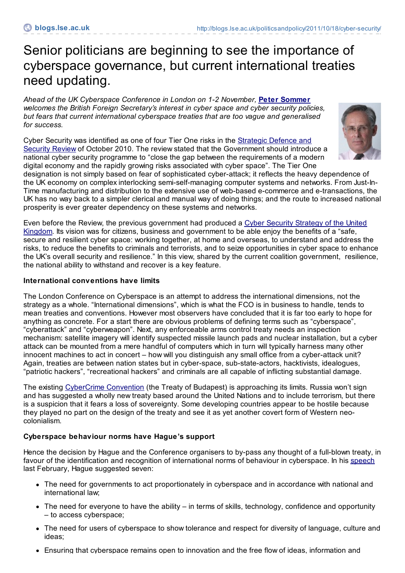# Senior politicians are beginning to see the importance of cyberspace governance, but current international treaties need updating.

*Ahead of the UK Cyberspace Conference in London on 1-2 November,* **Peter [Sommer](http://blogs.lse.ac.uk/politicsandpolicy/contributors/#Peter_Sommer)** *welcomes the British Foreign Secretary's interest in cyber space and cyber security policies, but fears that current international cyberspace treaties that are too vague and generalised for success.*

Cyber Security was identified as one of four Tier One risks in the Strategic Defence and Security Review of October 2010. The review stated that the [Government](http://www.direct.gov.uk/prod_consum_dg/groups/dg_digitalassets/@dg/@en/documents/digitalasset/dg_191634.pdf) should introduce a national cyber security programme to "close the gap between the requirements of a modern digital economy and the rapidly growing risks associated with cyber space". The Tier One



designation is not simply based on fear of sophisticated cyber-attack; it reflects the heavy dependence of the UK economy on complex interlocking semi-self-managing computer systems and networks. From Just-In-Time manufacturing and distribution to the extensive use of web-based e-commerce and e-transactions, the UK has no way back to a simpler clerical and manual way of doing things; and the route to increased national prosperity is ever greater dependency on these systems and networks.

Even before the Review, the previous [government](http://www.official-documents.gov.uk/document/cm76/7642/7642.pdf) had produced a Cyber Security Strategy of the United Kingdom. Its vision was for citizens, business and government to be able enjoy the benefits of a "safe, secure and resilient cyber space: working together, at home and overseas, to understand and address the risks, to reduce the benefits to criminals and terrorists, and to seize opportunities in cyber space to enhance the UK's overall security and resilience." In this view, shared by the current coalition government, resilience, the national ability to withstand and recover is a key feature.

### **International conventions have limits**

The London Conference on Cyberspace is an attempt to address the international dimensions, not the strategy as a whole. "International dimensions", which is what the FCO is in business to handle, tends to mean treaties and conventions. However most observers have concluded that it is far too early to hope for anything as concrete. For a start there are obvious problems of defining terms such as "cyberspace", "cyberattack" and "cyberweapon". Next, any enforceable arms control treaty needs an inspection mechanism: satellite imagery will identify suspected missile launch pads and nuclear installation, but a cyber attack can be mounted from a mere handful of computers which in turn will typically harness many other innocent machines to act in concert – how will you distinguish any small office from a cyber-attack unit? Again, treaties are between nation states but in cyber-space, sub-state-actors, hacktivists, idealogues, "patriotic hackers", "recreational hackers" and criminals are all capable of inflicting substantial damage.

The existing [CyberCrime](http://conventions.coe.int/Treaty/EN/Treaties/Html/185.htm) Convention (the Treaty of Budapest) is approaching its limits. Russia won't sign and has suggested a wholly new treaty based around the United Nations and to include terrorism, but there is a suspicion that it fears a loss of sovereignty. Some developing countries appear to be hostile because they played no part on the design of the treaty and see it as yet another covert form of Western neocolonialism.

## **Cyberspace behaviour norms have Hague's support**

Hence the decision by Hague and the Conference organisers to by-pass any thought of a full-blown treaty, in favour of the identification and recognition of international norms of behaviour in cyberspace. In his [speech](http://www.fco.gov.uk/en/news/latest-news/?view=Speech&id=544853682) last February, Hague suggested seven:

- The need for governments to act proportionately in cyberspace and in accordance with national and international law;
- The need for everyone to have the ability in terms of skills, technology, confidence and opportunity – to access cyberspace;
- The need for users of cyberspace to show tolerance and respect for diversity of language, culture and ideas;
- Ensuring that cyberspace remains open to innovation and the free flow of ideas, information and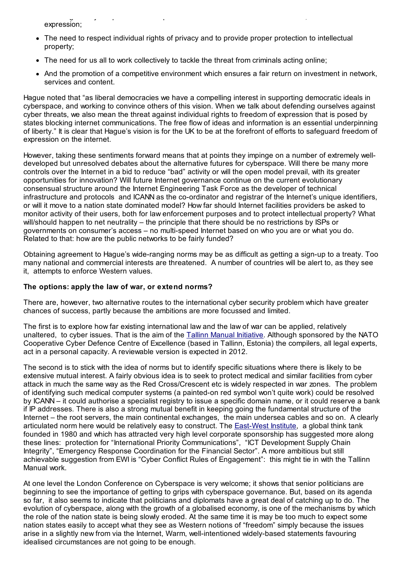Ensuring that cyberspace remains open to innovation and the free flow of ideas, information and expression;

- The need to respect individual rights of privacy and to provide proper protection to intellectual property;
- The need for us all to work collectively to tackle the threat from criminals acting online;
- And the promotion of a competitive environment which ensures a fair return on investment in network, services and content.

Hague noted that "as liberal democracies we have a compelling interest in supporting democratic ideals in cyberspace, and working to convince others of this vision. When we talk about defending ourselves against cyber threats, we also mean the threat against individual rights to freedom of expression that is posed by states blocking internet communications. The free flow of ideas and information is an essential underpinning of liberty." It is clear that Hague's vision is for the UK to be at the forefront of efforts to safeguard freedom of expression on the internet.

However, taking these sentiments forward means that at points they impinge on a number of extremely welldeveloped but unresolved debates about the alternative futures for cyberspace. Will there be many more controls over the Internet in a bid to reduce "bad" activity or will the open model prevail, with its greater opportunities for innovation? Will future Internet governance continue on the current evolutionary consensual structure around the Internet Engineering Task Force as the developer of technical infrastructure and protocols and ICANN as the co-ordinator and registrar of the Internet's unique identifiers, or will it move to a nation state dominated model? How far should Internet facilities providers be asked to monitor activity of their users, both for law enforcement purposes and to protect intellectual property? What will/should happen to net neutrality – the principle that there should be no restrictions by ISPs or governments on consumer's access – no multi-speed Internet based on who you are or what you do. Related to that: how are the public networks to be fairly funded?

Obtaining agreement to Hague's wide-ranging norms may be as difficult as getting a sign-up to a treaty. Too many national and commercial interests are threatened. A number of countries will be alert to, as they see it, attempts to enforce Western values.

#### **The options: apply the law of war, or extend norms?**

There are, however, two alternative routes to the international cyber security problem which have greater chances of success, partly because the ambitions are more focussed and limited.

The first is to explore how far existing international law and the law of war can be applied, relatively unaltered, to cyber issues. That is the aim of the Tallinn Manual [Initiative](http://www.ccdcoe.org/249.html). Although sponsored by the NATO Cooperative Cyber Defence Centre of Excellence (based in Tallinn, Estonia) the compilers, all legal experts, act in a personal capacity. A reviewable version is expected in 2012.

The second is to stick with the idea of norms but to identify specific situations where there is likely to be extensive mutual interest. A fairly obvious idea is to seek to protect medical and similar facilities from cyber attack in much the same way as the Red Cross/Crescent etc is widely respected in war zones. The problem of identifying such medical computer systems (a painted-on red symbol won't quite work) could be resolved by ICANN – it could authorise a specialist registry to issue a specific domain name, or it could reserve a bank if IP addresses. There is also a strong mutual benefit in keeping going the fundamental structure of the Internet – the root servers, the main continental exchanges, the main undersea cables and so on. A clearly articulated norm here would be relatively easy to construct. The [East-West](http://www.ewi.info/worldwide-cybersecurity-initiative) Institute, a global think tank founded in 1980 and which has attracted very high level corporate sponsorship has suggested more along these lines: protection for "International Priority Communications", "ICT Development Supply Chain Integrity", "Emergency Response Coordination for the Financial Sector". A more ambitious but still achievable suggestion from EWI is "Cyber Conflict Rules of Engagement": this might tie in with the Tallinn Manual work.

At one level the London Conference on Cyberspace is very welcome; it shows that senior politicians are beginning to see the importance of getting to grips with cyberspace governance. But, based on its agenda so far, it also seems to indicate that politicians and diplomats have a great deal of catching up to do. The evolution of cyberspace, along with the growth of a globalised economy, is one of the mechanisms by which the role of the nation state is being slowly eroded. At the same time it is may be too much to expect some nation states easily to accept what they see as Western notions of "freedom" simply because the issues arise in a slightly new from via the Internet, Warm, well-intentioned widely-based statements favouring idealised circumstances are not going to be enough.